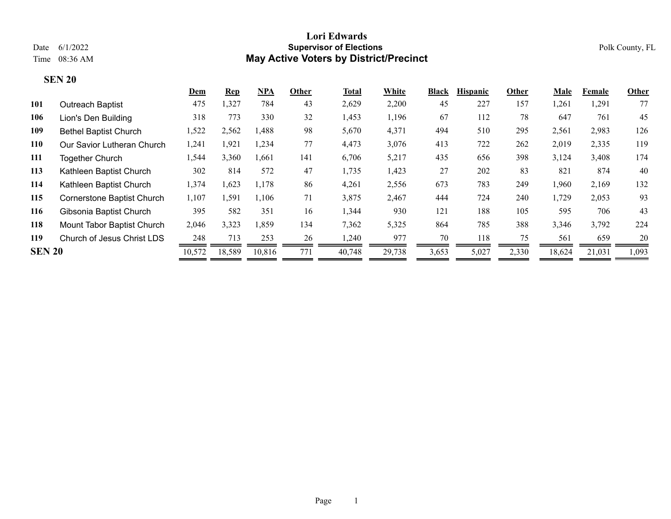|               |                                   | Dem    | $\mathbf{Rep}$ | <u>NPA</u> | Other | Total  | White  | <b>Black</b> | <b>Hispanic</b> | Other | Male   | Female | Other |
|---------------|-----------------------------------|--------|----------------|------------|-------|--------|--------|--------------|-----------------|-------|--------|--------|-------|
| 101           | <b>Outreach Baptist</b>           | 475    | 1,327          | 784        | 43    | 2,629  | 2,200  | 45           | 227             | 157   | 1,261  | 1,291  | 77    |
| 106           | Lion's Den Building               | 318    | 773            | 330        | 32    | 1,453  | 1,196  | 67           | 112             | 78    | 647    | 761    | 45    |
| 109           | <b>Bethel Baptist Church</b>      | 1,522  | 2,562          | 1.488      | 98    | 5,670  | 4,371  | 494          | 510             | 295   | 2,561  | 2,983  | 126   |
| 110           | Our Savior Lutheran Church        | 1,241  | 1,921          | 1,234      | 77    | 4,473  | 3,076  | 413          | 722             | 262   | 2,019  | 2,335  | 119   |
| 111           | <b>Together Church</b>            | 1,544  | 3,360          | .661       | 141   | 6,706  | 5,217  | 435          | 656             | 398   | 3,124  | 3,408  | 174   |
| 113           | Kathleen Baptist Church           | 302    | 814            | 572        | 47    | 1,735  | 1,423  | 27           | 202             | 83    | 821    | 874    | 40    |
| 114           | Kathleen Baptist Church           | 1,374  | 1,623          | 1,178      | 86    | 4,261  | 2,556  | 673          | 783             | 249   | 1,960  | 2,169  | 132   |
| 115           | <b>Cornerstone Baptist Church</b> | 1,107  | 1,591          | 1.106      | 71    | 3,875  | 2,467  | 444          | 724             | 240   | 1,729  | 2,053  | 93    |
| 116           | Gibsonia Baptist Church           | 395    | 582            | 351        | 16    | 1,344  | 930    | 121          | 188             | 105   | 595    | 706    | 43    |
| 118           | Mount Tabor Baptist Church        | 2,046  | 3,323          | 1,859      | 134   | 7,362  | 5,325  | 864          | 785             | 388   | 3,346  | 3,792  | 224   |
| 119           | Church of Jesus Christ LDS        | 248    | 713            | 253        | 26    | 1,240  | 977    | 70           | 118             | 75    | 561    | 659    | 20    |
| <b>SEN 20</b> |                                   | 10,572 | 18,589         | 10,816     | 771   | 40,748 | 29,738 | 3,653        | 5,027           | 2,330 | 18,624 | 21,031 | 1,093 |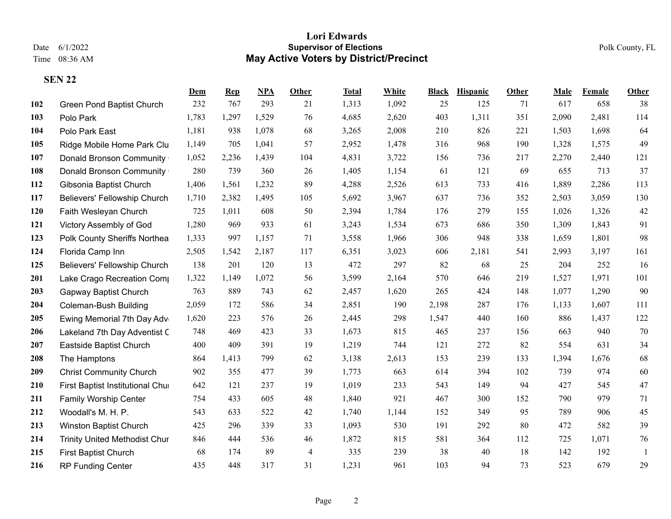|     |                                      | Dem   | <b>Rep</b> | NPA   | Other          | <b>Total</b> | White | <b>Black</b> | <b>Hispanic</b> | <b>Other</b> | Male  | <b>Female</b> | Other  |
|-----|--------------------------------------|-------|------------|-------|----------------|--------------|-------|--------------|-----------------|--------------|-------|---------------|--------|
| 102 | Green Pond Baptist Church            | 232   | 767        | 293   | 21             | 1,313        | 1,092 | 25           | 125             | 71           | 617   | 658           | 38     |
| 103 | Polo Park                            | 1,783 | 1,297      | 1,529 | 76             | 4,685        | 2,620 | 403          | 1,311           | 351          | 2,090 | 2,481         | 114    |
| 104 | Polo Park East                       | 1,181 | 938        | 1,078 | 68             | 3,265        | 2,008 | 210          | 826             | 221          | 1,503 | 1,698         | 64     |
| 105 | Ridge Mobile Home Park Clu           | 1,149 | 705        | 1,041 | 57             | 2,952        | 1,478 | 316          | 968             | 190          | 1,328 | 1,575         | 49     |
| 107 | Donald Bronson Community             | 1,052 | 2,236      | 1,439 | 104            | 4,831        | 3,722 | 156          | 736             | 217          | 2,270 | 2,440         | 121    |
| 108 | Donald Bronson Community             | 280   | 739        | 360   | 26             | 1,405        | 1,154 | 61           | 121             | 69           | 655   | 713           | 37     |
| 112 | Gibsonia Baptist Church              | 1,406 | 1,561      | 1,232 | 89             | 4,288        | 2,526 | 613          | 733             | 416          | 1,889 | 2,286         | 113    |
| 117 | Believers' Fellowship Church         | 1,710 | 2,382      | 1,495 | 105            | 5,692        | 3,967 | 637          | 736             | 352          | 2,503 | 3,059         | 130    |
| 120 | Faith Wesleyan Church                | 725   | 1,011      | 608   | 50             | 2,394        | 1,784 | 176          | 279             | 155          | 1,026 | 1,326         | 42     |
| 121 | Victory Assembly of God              | 1,280 | 969        | 933   | 61             | 3,243        | 1,534 | 673          | 686             | 350          | 1,309 | 1,843         | 91     |
| 123 | Polk County Sheriffs Northea         | 1,333 | 997        | 1,157 | 71             | 3,558        | 1,966 | 306          | 948             | 338          | 1,659 | 1,801         | 98     |
| 124 | Florida Camp Inn                     | 2,505 | 1,542      | 2,187 | 117            | 6,351        | 3,023 | 606          | 2,181           | 541          | 2,993 | 3,197         | 161    |
| 125 | Believers' Fellowship Church         | 138   | 201        | 120   | 13             | 472          | 297   | 82           | 68              | 25           | 204   | 252           | 16     |
| 201 | Lake Crago Recreation Comp           | 1,322 | 1,149      | 1,072 | 56             | 3,599        | 2,164 | 570          | 646             | 219          | 1,527 | 1,971         | 101    |
| 203 | Gapway Baptist Church                | 763   | 889        | 743   | 62             | 2,457        | 1,620 | 265          | 424             | 148          | 1,077 | 1,290         | 90     |
| 204 | <b>Coleman-Bush Building</b>         | 2,059 | 172        | 586   | 34             | 2,851        | 190   | 2,198        | 287             | 176          | 1,133 | 1,607         | 111    |
| 205 | Ewing Memorial 7th Day Adv           | 1,620 | 223        | 576   | 26             | 2,445        | 298   | 1,547        | 440             | 160          | 886   | 1,437         | 122    |
| 206 | Lakeland 7th Day Adventist C         | 748   | 469        | 423   | 33             | 1,673        | 815   | 465          | 237             | 156          | 663   | 940           | 70     |
| 207 | Eastside Baptist Church              | 400   | 409        | 391   | 19             | 1,219        | 744   | 121          | 272             | 82           | 554   | 631           | 34     |
| 208 | The Hamptons                         | 864   | 1,413      | 799   | 62             | 3,138        | 2,613 | 153          | 239             | 133          | 1,394 | 1,676         | 68     |
| 209 | <b>Christ Community Church</b>       | 902   | 355        | 477   | 39             | 1,773        | 663   | 614          | 394             | 102          | 739   | 974           | 60     |
| 210 | First Baptist Institutional Chur     | 642   | 121        | 237   | 19             | 1,019        | 233   | 543          | 149             | 94           | 427   | 545           | $47\,$ |
| 211 | <b>Family Worship Center</b>         | 754   | 433        | 605   | 48             | 1,840        | 921   | 467          | 300             | 152          | 790   | 979           | 71     |
| 212 | Woodall's M. H. P.                   | 543   | 633        | 522   | 42             | 1,740        | 1,144 | 152          | 349             | 95           | 789   | 906           | 45     |
| 213 | Winston Baptist Church               | 425   | 296        | 339   | 33             | 1,093        | 530   | 191          | 292             | 80           | 472   | 582           | 39     |
| 214 | <b>Trinity United Methodist Chur</b> | 846   | 444        | 536   | 46             | 1,872        | 815   | 581          | 364             | 112          | 725   | 1,071         | 76     |
| 215 | <b>First Baptist Church</b>          | 68    | 174        | 89    | $\overline{4}$ | 335          | 239   | 38           | 40              | 18           | 142   | 192           | -1     |
| 216 | <b>RP Funding Center</b>             | 435   | 448        | 317   | 31             | 1,231        | 961   | 103          | 94              | 73           | 523   | 679           | 29     |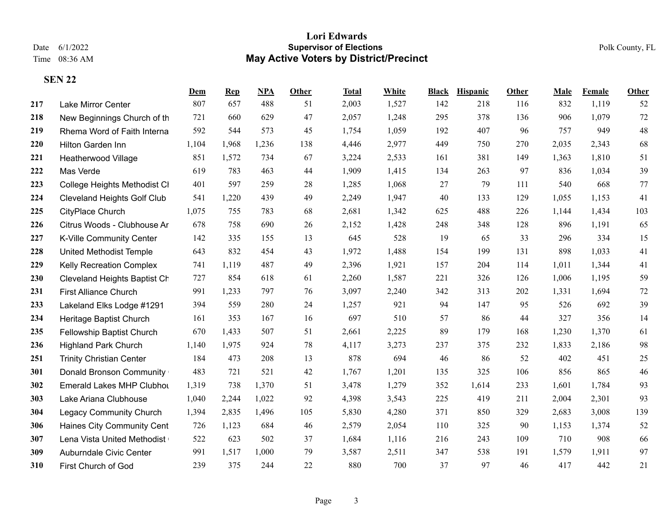|     |                                    | Dem   | <b>Rep</b> | NPA   | Other | Total | White | <b>Black</b> | <b>Hispanic</b> | Other | Male  | Female | <b>Other</b> |
|-----|------------------------------------|-------|------------|-------|-------|-------|-------|--------------|-----------------|-------|-------|--------|--------------|
| 217 | Lake Mirror Center                 | 807   | 657        | 488   | 51    | 2,003 | 1,527 | 142          | 218             | 116   | 832   | 1,119  | 52           |
| 218 | New Beginnings Church of th        | 721   | 660        | 629   | 47    | 2,057 | 1,248 | 295          | 378             | 136   | 906   | 1,079  | 72           |
| 219 | Rhema Word of Faith Interna        | 592   | 544        | 573   | 45    | 1,754 | 1,059 | 192          | 407             | 96    | 757   | 949    | 48           |
| 220 | Hilton Garden Inn                  | 1,104 | 1,968      | 1,236 | 138   | 4,446 | 2,977 | 449          | 750             | 270   | 2,035 | 2,343  | 68           |
| 221 | Heatherwood Village                | 851   | 1,572      | 734   | 67    | 3,224 | 2,533 | 161          | 381             | 149   | 1,363 | 1,810  | 51           |
| 222 | Mas Verde                          | 619   | 783        | 463   | 44    | 1,909 | 1,415 | 134          | 263             | 97    | 836   | 1,034  | 39           |
| 223 | College Heights Methodist CI       | 401   | 597        | 259   | 28    | 1,285 | 1,068 | 27           | 79              | 111   | 540   | 668    | 77           |
| 224 | <b>Cleveland Heights Golf Club</b> | 541   | 1,220      | 439   | 49    | 2,249 | 1,947 | 40           | 133             | 129   | 1,055 | 1,153  | 41           |
| 225 | CityPlace Church                   | 1,075 | 755        | 783   | 68    | 2,681 | 1,342 | 625          | 488             | 226   | 1,144 | 1,434  | 103          |
| 226 | Citrus Woods - Clubhouse Ar        | 678   | 758        | 690   | 26    | 2,152 | 1,428 | 248          | 348             | 128   | 896   | 1,191  | 65           |
| 227 | K-Ville Community Center           | 142   | 335        | 155   | 13    | 645   | 528   | 19           | 65              | 33    | 296   | 334    | 15           |
| 228 | United Methodist Temple            | 643   | 832        | 454   | 43    | 1,972 | 1,488 | 154          | 199             | 131   | 898   | 1,033  | 41           |
| 229 | <b>Kelly Recreation Complex</b>    | 741   | 1,119      | 487   | 49    | 2,396 | 1,921 | 157          | 204             | 114   | 1,011 | 1,344  | 41           |
| 230 | Cleveland Heights Baptist Ch       | 727   | 854        | 618   | 61    | 2,260 | 1,587 | 221          | 326             | 126   | 1,006 | 1,195  | 59           |
| 231 | <b>First Alliance Church</b>       | 991   | 1,233      | 797   | 76    | 3,097 | 2,240 | 342          | 313             | 202   | 1,331 | 1,694  | 72           |
| 233 | Lakeland Elks Lodge #1291          | 394   | 559        | 280   | 24    | 1,257 | 921   | 94           | 147             | 95    | 526   | 692    | 39           |
| 234 | Heritage Baptist Church            | 161   | 353        | 167   | 16    | 697   | 510   | 57           | 86              | 44    | 327   | 356    | 14           |
| 235 | Fellowship Baptist Church          | 670   | 1,433      | 507   | 51    | 2,661 | 2,225 | 89           | 179             | 168   | 1,230 | 1,370  | 61           |
| 236 | <b>Highland Park Church</b>        | 1,140 | 1,975      | 924   | 78    | 4,117 | 3,273 | 237          | 375             | 232   | 1,833 | 2,186  | 98           |
| 251 | <b>Trinity Christian Center</b>    | 184   | 473        | 208   | 13    | 878   | 694   | 46           | 86              | 52    | 402   | 451    | 25           |
| 301 | Donald Bronson Community           | 483   | 721        | 521   | 42    | 1,767 | 1,201 | 135          | 325             | 106   | 856   | 865    | 46           |
| 302 | Emerald Lakes MHP Clubhot          | 1,319 | 738        | 1,370 | 51    | 3,478 | 1,279 | 352          | 1,614           | 233   | 1,601 | 1,784  | 93           |
| 303 | Lake Ariana Clubhouse              | 1,040 | 2,244      | 1,022 | 92    | 4,398 | 3,543 | 225          | 419             | 211   | 2,004 | 2,301  | 93           |
| 304 | <b>Legacy Community Church</b>     | 1,394 | 2,835      | 1,496 | 105   | 5,830 | 4,280 | 371          | 850             | 329   | 2,683 | 3,008  | 139          |
| 306 | Haines City Community Cent         | 726   | 1,123      | 684   | 46    | 2,579 | 2,054 | 110          | 325             | 90    | 1,153 | 1,374  | 52           |
| 307 | Lena Vista United Methodist        | 522   | 623        | 502   | 37    | 1,684 | 1,116 | 216          | 243             | 109   | 710   | 908    | 66           |
| 309 | Auburndale Civic Center            | 991   | 1,517      | 1,000 | 79    | 3,587 | 2,511 | 347          | 538             | 191   | 1,579 | 1,911  | 97           |
| 310 | First Church of God                | 239   | 375        | 244   | 22    | 880   | 700   | 37           | 97              | 46    | 417   | 442    | 21           |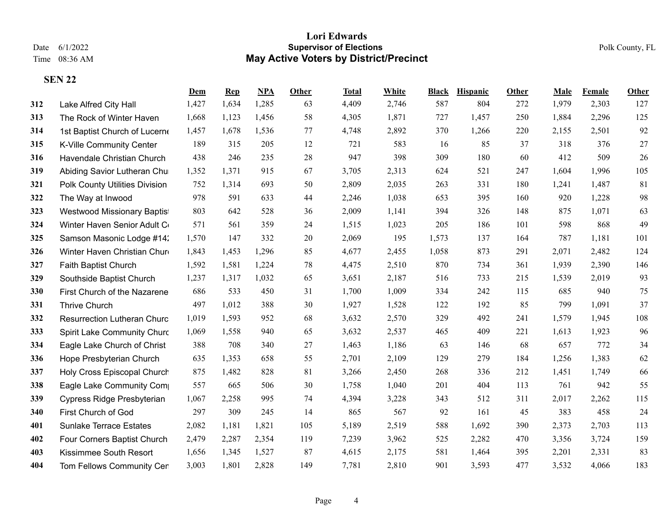|     |                                    | Dem   | <b>Rep</b> | NPA   | Other | Total | White | <b>Black</b> | <b>Hispanic</b> | Other | Male  | <b>Female</b> | <b>Other</b> |
|-----|------------------------------------|-------|------------|-------|-------|-------|-------|--------------|-----------------|-------|-------|---------------|--------------|
| 312 | Lake Alfred City Hall              | 1,427 | 1,634      | 1,285 | 63    | 4,409 | 2,746 | 587          | 804             | 272   | 1,979 | 2,303         | 127          |
| 313 | The Rock of Winter Haven           | 1,668 | 1,123      | 1,456 | 58    | 4,305 | 1,871 | 727          | 1,457           | 250   | 1,884 | 2,296         | 125          |
| 314 | 1st Baptist Church of Lucerne      | 1,457 | 1,678      | 1,536 | 77    | 4,748 | 2,892 | 370          | 1,266           | 220   | 2,155 | 2,501         | 92           |
| 315 | K-Ville Community Center           | 189   | 315        | 205   | 12    | 721   | 583   | 16           | 85              | 37    | 318   | 376           | 27           |
| 316 | Havendale Christian Church         | 438   | 246        | 235   | 28    | 947   | 398   | 309          | 180             | 60    | 412   | 509           | 26           |
| 319 | Abiding Savior Lutheran Chu        | 1,352 | 1,371      | 915   | 67    | 3,705 | 2,313 | 624          | 521             | 247   | 1,604 | 1,996         | 105          |
| 321 | Polk County Utilities Division     | 752   | 1,314      | 693   | 50    | 2,809 | 2,035 | 263          | 331             | 180   | 1,241 | 1,487         | 81           |
| 322 | The Way at Inwood                  | 978   | 591        | 633   | 44    | 2,246 | 1,038 | 653          | 395             | 160   | 920   | 1,228         | 98           |
| 323 | Westwood Missionary Baptist        | 803   | 642        | 528   | 36    | 2,009 | 1,141 | 394          | 326             | 148   | 875   | 1,071         | 63           |
| 324 | Winter Haven Senior Adult C        | 571   | 561        | 359   | 24    | 1,515 | 1,023 | 205          | 186             | 101   | 598   | 868           | 49           |
| 325 | Samson Masonic Lodge #14:          | 1,570 | 147        | 332   | 20    | 2,069 | 195   | 1,573        | 137             | 164   | 787   | 1,181         | 101          |
| 326 | Winter Haven Christian Chur        | 1,843 | 1,453      | 1,296 | 85    | 4,677 | 2,455 | 1,058        | 873             | 291   | 2,071 | 2,482         | 124          |
| 327 | Faith Baptist Church               | 1,592 | 1,581      | 1,224 | 78    | 4,475 | 2,510 | 870          | 734             | 361   | 1,939 | 2,390         | 146          |
| 329 | Southside Baptist Church           | 1,237 | 1,317      | 1,032 | 65    | 3,651 | 2,187 | 516          | 733             | 215   | 1,539 | 2,019         | 93           |
| 330 | First Church of the Nazarene       | 686   | 533        | 450   | 31    | 1,700 | 1,009 | 334          | 242             | 115   | 685   | 940           | 75           |
| 331 | <b>Thrive Church</b>               | 497   | 1,012      | 388   | 30    | 1,927 | 1,528 | 122          | 192             | 85    | 799   | 1,091         | 37           |
| 332 | <b>Resurrection Lutheran Churc</b> | 1,019 | 1,593      | 952   | 68    | 3,632 | 2,570 | 329          | 492             | 241   | 1,579 | 1,945         | 108          |
| 333 | Spirit Lake Community Churc        | 1,069 | 1,558      | 940   | 65    | 3,632 | 2,537 | 465          | 409             | 221   | 1,613 | 1,923         | 96           |
| 334 | Eagle Lake Church of Christ        | 388   | 708        | 340   | 27    | 1,463 | 1,186 | 63           | 146             | 68    | 657   | 772           | 34           |
| 336 | Hope Presbyterian Church           | 635   | 1,353      | 658   | 55    | 2,701 | 2,109 | 129          | 279             | 184   | 1,256 | 1,383         | 62           |
| 337 | Holy Cross Episcopal Church        | 875   | 1,482      | 828   | 81    | 3,266 | 2,450 | 268          | 336             | 212   | 1,451 | 1,749         | 66           |
| 338 | Eagle Lake Community Com           | 557   | 665        | 506   | 30    | 1,758 | 1,040 | 201          | 404             | 113   | 761   | 942           | 55           |
| 339 | Cypress Ridge Presbyterian         | 1,067 | 2,258      | 995   | 74    | 4,394 | 3,228 | 343          | 512             | 311   | 2,017 | 2,262         | 115          |
| 340 | First Church of God                | 297   | 309        | 245   | 14    | 865   | 567   | 92           | 161             | 45    | 383   | 458           | 24           |
| 401 | <b>Sunlake Terrace Estates</b>     | 2,082 | 1,181      | 1,821 | 105   | 5,189 | 2,519 | 588          | 1,692           | 390   | 2,373 | 2,703         | 113          |
| 402 | Four Corners Baptist Church        | 2,479 | 2,287      | 2,354 | 119   | 7,239 | 3,962 | 525          | 2,282           | 470   | 3,356 | 3,724         | 159          |
| 403 | Kissimmee South Resort             | 1,656 | 1,345      | 1,527 | 87    | 4,615 | 2,175 | 581          | 1,464           | 395   | 2,201 | 2,331         | 83           |
| 404 | Tom Fellows Community Cer          | 3,003 | 1,801      | 2,828 | 149   | 7,781 | 2,810 | 901          | 3,593           | 477   | 3,532 | 4,066         | 183          |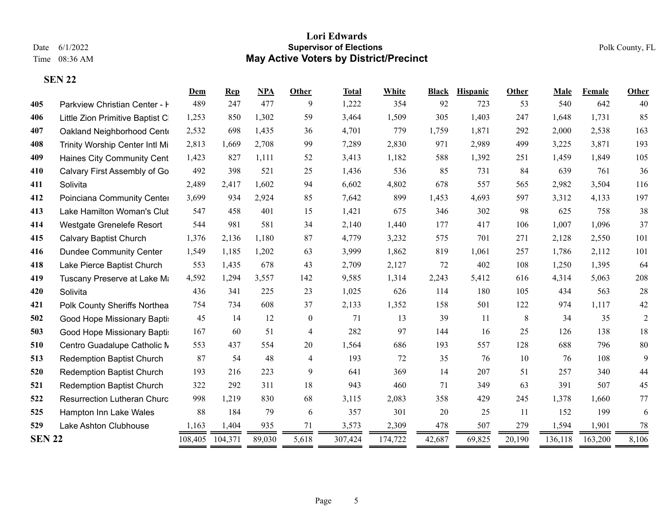|               |                                    | Dem     | Rep     | <b>NPA</b> | Other            | <b>Total</b> | White   | <b>Black</b> | Hispanic | Other     | Male    | Female  | Other          |
|---------------|------------------------------------|---------|---------|------------|------------------|--------------|---------|--------------|----------|-----------|---------|---------|----------------|
| 405           | Parkview Christian Center - I      | 489     | 247     | 477        | 9                | 1,222        | 354     | 92           | 723      | 53        | 540     | 642     | 40             |
| 406           | Little Zion Primitive Baptist C    | 1,253   | 850     | 1,302      | 59               | 3,464        | 1,509   | 305          | 1,403    | 247       | 1,648   | 1,731   | 85             |
| 407           | Oakland Neighborhood Cent          | 2,532   | 698     | 1,435      | 36               | 4,701        | 779     | 1,759        | 1,871    | 292       | 2,000   | 2,538   | 163            |
| 408           | Trinity Worship Center Intl Mi     | 2,813   | 1,669   | 2,708      | 99               | 7,289        | 2,830   | 971          | 2,989    | 499       | 3,225   | 3,871   | 193            |
| 409           | Haines City Community Cent         | 1,423   | 827     | 1,111      | 52               | 3,413        | 1,182   | 588          | 1,392    | 251       | 1,459   | 1,849   | 105            |
| 410           | Calvary First Assembly of Go       | 492     | 398     | 521        | 25               | 1,436        | 536     | 85           | 731      | 84        | 639     | 761     | 36             |
| 411           | Solivita                           | 2,489   | 2,417   | 1,602      | 94               | 6,602        | 4,802   | 678          | 557      | 565       | 2,982   | 3,504   | 116            |
| 412           | Poinciana Community Center         | 3,699   | 934     | 2,924      | 85               | 7,642        | 899     | 1,453        | 4,693    | 597       | 3,312   | 4,133   | 197            |
| 413           | Lake Hamilton Woman's Clut         | 547     | 458     | 401        | 15               | 1,421        | 675     | 346          | 302      | 98        | 625     | 758     | 38             |
| 414           | Westgate Grenelefe Resort          | 544     | 981     | 581        | 34               | 2,140        | 1,440   | 177          | 417      | 106       | 1,007   | 1,096   | 37             |
| 415           | <b>Calvary Baptist Church</b>      | 1,376   | 2,136   | 1,180      | 87               | 4,779        | 3,232   | 575          | 701      | 271       | 2,128   | 2,550   | 101            |
| 416           | <b>Dundee Community Center</b>     | 1,549   | 1,185   | 1,202      | 63               | 3,999        | 1,862   | 819          | 1,061    | 257       | 1,786   | 2,112   | 101            |
| 418           | Lake Pierce Baptist Church         | 553     | 1,435   | 678        | 43               | 2,709        | 2,127   | 72           | 402      | 108       | 1,250   | 1,395   | 64             |
| 419           | Tuscany Preserve at Lake Ma        | 4,592   | 1,294   | 3,557      | 142              | 9,585        | 1,314   | 2,243        | 5,412    | 616       | 4,314   | 5,063   | 208            |
| 420           | Solivita                           | 436     | 341     | 225        | 23               | 1,025        | 626     | 114          | 180      | 105       | 434     | 563     | 28             |
| 421           | Polk County Sheriffs Northea       | 754     | 734     | 608        | 37               | 2,133        | 1,352   | 158          | 501      | 122       | 974     | 1,117   | 42             |
| 502           | Good Hope Missionary Bapti:        | 45      | 14      | 12         | $\boldsymbol{0}$ | 71           | 13      | 39           | 11       | 8         | 34      | 35      | $\overline{2}$ |
| 503           | Good Hope Missionary Bapti:        | 167     | 60      | 51         | $\overline{4}$   | 282          | 97      | 144          | 16       | 25        | 126     | 138     | 18             |
| 510           | Centro Guadalupe Catholic M        | 553     | 437     | 554        | 20               | 1,564        | 686     | 193          | 557      | 128       | 688     | 796     | 80             |
| 513           | <b>Redemption Baptist Church</b>   | 87      | 54      | 48         | $\overline{4}$   | 193          | 72      | 35           | 76       | 10        | 76      | 108     | 9              |
| 520           | <b>Redemption Baptist Church</b>   | 193     | 216     | 223        | 9                | 641          | 369     | 14           | 207      | 51        | 257     | 340     | 44             |
| 521           | <b>Redemption Baptist Church</b>   | 322     | 292     | 311        | 18               | 943          | 460     | 71           | 349      | 63        | 391     | 507     | 45             |
| 522           | <b>Resurrection Lutheran Churc</b> | 998     | 1,219   | 830        | 68               | 3,115        | 2,083   | 358          | 429      | 245       | 1,378   | 1,660   | 77             |
| 525           | Hampton Inn Lake Wales             | 88      | 184     | 79         | 6                | 357          | 301     | 20           | 25       | <b>11</b> | 152     | 199     | 6              |
| 529           | Lake Ashton Clubhouse              | 1,163   | 1,404   | 935        | 71               | 3,573        | 2,309   | 478          | 507      | 279       | 1,594   | 1,901   | 78             |
| <b>SEN 22</b> |                                    | 108,405 | 104,371 | 89,030     | 5,618<br>=       | 307,424      | 174,722 | 42,687       | 69,825   | 20,190    | 136,118 | 163,200 | 8,106          |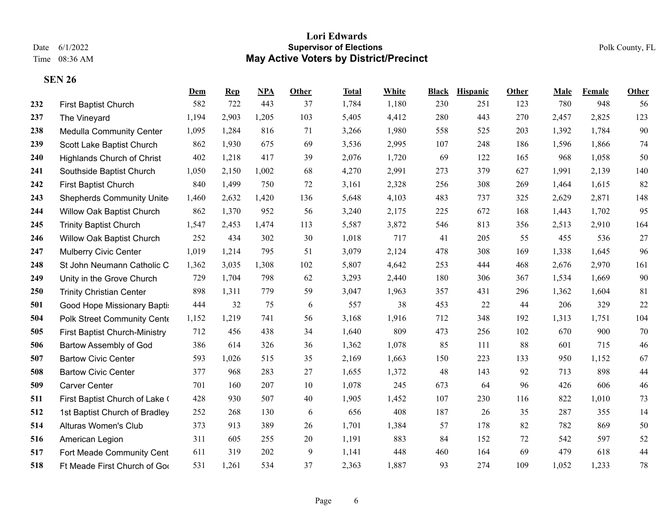|     |                                   | Dem   | <b>Rep</b> | <b>NPA</b> | Other | Total | White | <b>Black</b> | Hispanic | Other | Male  | Female | <b>Other</b> |
|-----|-----------------------------------|-------|------------|------------|-------|-------|-------|--------------|----------|-------|-------|--------|--------------|
| 232 | First Baptist Church              | 582   | 722        | 443        | 37    | 1,784 | 1,180 | 230          | 251      | 123   | 780   | 948    | 56           |
| 237 | The Vineyard                      | 1,194 | 2,903      | 1,205      | 103   | 5,405 | 4,412 | 280          | 443      | 270   | 2,457 | 2,825  | 123          |
| 238 | <b>Medulla Community Center</b>   | 1,095 | 1,284      | 816        | 71    | 3,266 | 1,980 | 558          | 525      | 203   | 1,392 | 1,784  | 90           |
| 239 | Scott Lake Baptist Church         | 862   | 1,930      | 675        | 69    | 3,536 | 2,995 | 107          | 248      | 186   | 1,596 | 1,866  | 74           |
| 240 | <b>Highlands Church of Christ</b> | 402   | 1,218      | 417        | 39    | 2,076 | 1,720 | 69           | 122      | 165   | 968   | 1,058  | 50           |
| 241 | Southside Baptist Church          | 1,050 | 2,150      | 1,002      | 68    | 4,270 | 2,991 | 273          | 379      | 627   | 1,991 | 2,139  | 140          |
| 242 | First Baptist Church              | 840   | 1,499      | 750        | 72    | 3,161 | 2,328 | 256          | 308      | 269   | 1,464 | 1,615  | 82           |
| 243 | <b>Shepherds Community Unite</b>  | 1,460 | 2,632      | 1,420      | 136   | 5,648 | 4,103 | 483          | 737      | 325   | 2,629 | 2,871  | 148          |
| 244 | Willow Oak Baptist Church         | 862   | 1,370      | 952        | 56    | 3,240 | 2,175 | 225          | 672      | 168   | 1,443 | 1,702  | 95           |
| 245 | <b>Trinity Baptist Church</b>     | 1,547 | 2,453      | 1,474      | 113   | 5,587 | 3,872 | 546          | 813      | 356   | 2,513 | 2,910  | 164          |
| 246 | Willow Oak Baptist Church         | 252   | 434        | 302        | 30    | 1,018 | 717   | 41           | 205      | 55    | 455   | 536    | 27           |
| 247 | <b>Mulberry Civic Center</b>      | 1,019 | 1,214      | 795        | 51    | 3,079 | 2,124 | 478          | 308      | 169   | 1,338 | 1,645  | 96           |
| 248 | St John Neumann Catholic C        | 1,362 | 3,035      | 1,308      | 102   | 5,807 | 4,642 | 253          | 444      | 468   | 2,676 | 2,970  | 161          |
| 249 | Unity in the Grove Church         | 729   | 1,704      | 798        | 62    | 3,293 | 2,440 | 180          | 306      | 367   | 1,534 | 1,669  | 90           |
| 250 | <b>Trinity Christian Center</b>   | 898   | 1,311      | 779        | 59    | 3,047 | 1,963 | 357          | 431      | 296   | 1,362 | 1,604  | 81           |
| 501 | Good Hope Missionary Bapti:       | 444   | 32         | 75         | 6     | 557   | 38    | 453          | 22       | 44    | 206   | 329    | 22           |
| 504 | Polk Street Community Cente       | 1,152 | 1,219      | 741        | 56    | 3,168 | 1,916 | 712          | 348      | 192   | 1,313 | 1,751  | 104          |
| 505 | First Baptist Church-Ministry     | 712   | 456        | 438        | 34    | 1,640 | 809   | 473          | 256      | 102   | 670   | 900    | 70           |
| 506 | Bartow Assembly of God            | 386   | 614        | 326        | 36    | 1,362 | 1,078 | 85           | 111      | 88    | 601   | 715    | 46           |
| 507 | <b>Bartow Civic Center</b>        | 593   | 1,026      | 515        | 35    | 2,169 | 1,663 | 150          | 223      | 133   | 950   | 1,152  | 67           |
| 508 | <b>Bartow Civic Center</b>        | 377   | 968        | 283        | 27    | 1,655 | 1,372 | 48           | 143      | 92    | 713   | 898    | 44           |
| 509 | <b>Carver Center</b>              | 701   | 160        | 207        | 10    | 1,078 | 245   | 673          | 64       | 96    | 426   | 606    | 46           |
| 511 | First Baptist Church of Lake (    | 428   | 930        | 507        | 40    | 1,905 | 1,452 | 107          | 230      | 116   | 822   | 1,010  | 73           |
| 512 | 1st Baptist Church of Bradley     | 252   | 268        | 130        | 6     | 656   | 408   | 187          | 26       | 35    | 287   | 355    | 14           |
| 514 | Alturas Women's Club              | 373   | 913        | 389        | 26    | 1,701 | 1,384 | 57           | 178      | 82    | 782   | 869    | 50           |
| 516 | American Legion                   | 311   | 605        | 255        | 20    | 1,191 | 883   | 84           | 152      | 72    | 542   | 597    | 52           |
| 517 | Fort Meade Community Cent         | 611   | 319        | 202        | 9     | 1,141 | 448   | 460          | 164      | 69    | 479   | 618    | 44           |
| 518 | Ft Meade First Church of Goo      | 531   | 1,261      | 534        | 37    | 2,363 | 1,887 | 93           | 274      | 109   | 1,052 | 1,233  | 78           |